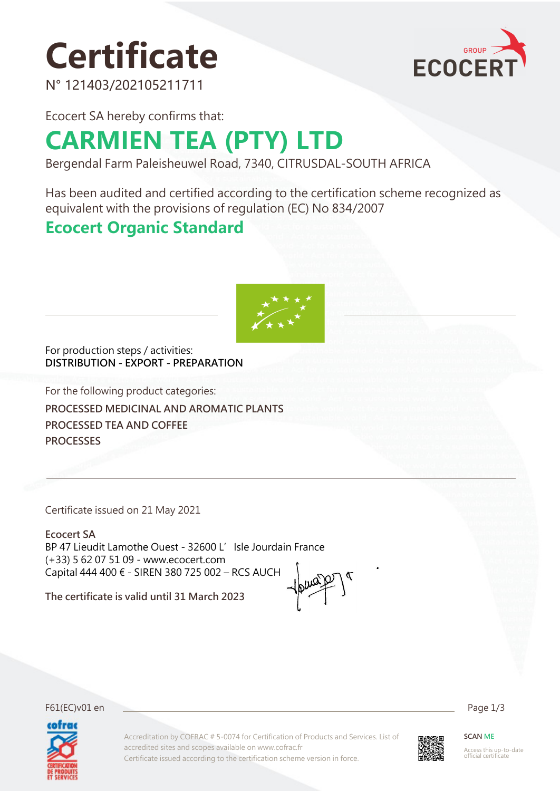# **Certificate**



N° 121403/202105211711

Ecocert SA hereby confirms that:

## **CARMIEN TEA (PTY) LTD**

Bergendal Farm Paleisheuwel Road, 7340, CITRUSDAL-SOUTH AFRICA

Has been audited and certified according to the certification scheme recognized as equivalent with the provisions of regulation (EC) No 834/2007

## **Ecocert Organic Standard**



For production steps / activities: **DISTRIBUTION - EXPORT - PREPARATION**

For the following product categories: **PROCESSED MEDICINAL AND AROMATIC PLANTS PROCESSED TEA AND COFFEE PROCESSES**

Certificate issued on 21 May 2021

**Ecocert SA** BP 47 Lieudit Lamothe Ouest - 32600 L' Isle Jourdain France (+33) 5 62 07 51 09 - www.ecocert.com Capital 444 400 € - SIREN 380 725 002 – RCS AUCH

**The certificate is valid until 31 March 2023**

F61(EC)v01 en Page 1/3



Accreditation by COFRAC # 5-0074 for Certification of Products and Services. List of accredited sites and scopes available on www.cofrac.fr Certificate issued according to the certification scheme version in force.



**SCAN ME**

Access this up-to-date official certificate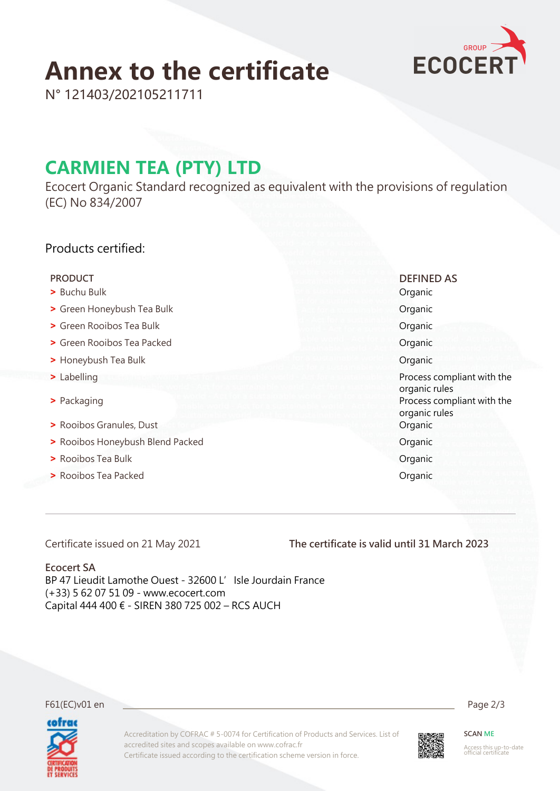## **Annex to the certificate**



N° 121403/202105211711

## **CARMIEN TEA (PTY) LTD**

Ecocert Organic Standard recognized as equivalent with the provisions of regulation (EC) No 834/2007

### Products certified:

- **>** Buchu Bulk Organic
- **•** Green Honeybush Tea Bulk **Organic Community** Organic
- **•** Green Rooibos Tea Bulk **Organic**
- **•** Green Rooibos Tea Packed **Organic**
- **•** Honeybush Tea Bulk **Organic**
- 
- 
- **•** Rooibos Granules, Dust **Contract Contract Contract Contract Contract Contract Contract Contract Contract Contract Contract Contract Contract Contract Contract Contract Contract Contract Contract Contract Contract Contr**
- **Provided Packed Packed Packed Packed Packed Packed Packed Packed Packed Packed Packed Packed Packed Packed Packed Packed Packed Packed Packed Packed Packed Packed Packed Packed Packed Packed Packed Packed Packed Packed**
- **•** Rooibos Tea Bulk **Organic**
- **•** Rooibos Tea Packed **Organic**

 **PRODUCT DEFINED AS**

 **>** Labelling Process compliant with the organic rules **•** Packaging **b** Packaging **Process compliant with the** organic rules

Certificate issued on 21 May 2021

**The certificate is valid until 31 March 2023**

### **Ecocert SA**

BP 47 Lieudit Lamothe Ouest - 32600 L'Isle Jourdain France (+33) 5 62 07 51 09 - www.ecocert.com Capital 444 400 € - SIREN 380 725 002 – RCS AUCH